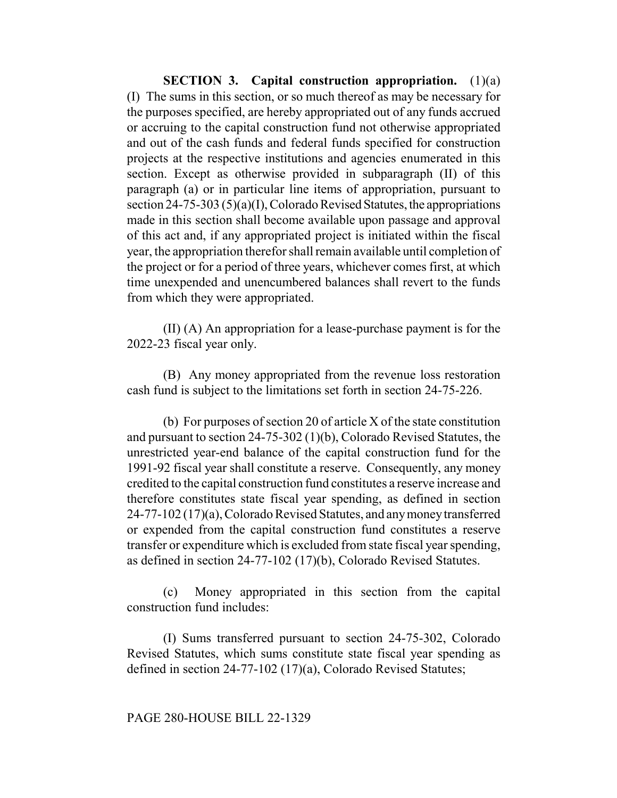**SECTION 3. Capital construction appropriation.** (1)(a) (I) The sums in this section, or so much thereof as may be necessary for the purposes specified, are hereby appropriated out of any funds accrued or accruing to the capital construction fund not otherwise appropriated and out of the cash funds and federal funds specified for construction projects at the respective institutions and agencies enumerated in this section. Except as otherwise provided in subparagraph (II) of this paragraph (a) or in particular line items of appropriation, pursuant to section 24-75-303 (5)(a)(I), Colorado Revised Statutes, the appropriations made in this section shall become available upon passage and approval of this act and, if any appropriated project is initiated within the fiscal year, the appropriation therefor shall remain available until completion of the project or for a period of three years, whichever comes first, at which time unexpended and unencumbered balances shall revert to the funds from which they were appropriated.

(II) (A) An appropriation for a lease-purchase payment is for the 2022-23 fiscal year only.

(B) Any money appropriated from the revenue loss restoration cash fund is subject to the limitations set forth in section 24-75-226.

(b) For purposes of section 20 of article X of the state constitution and pursuant to section 24-75-302 (1)(b), Colorado Revised Statutes, the unrestricted year-end balance of the capital construction fund for the 1991-92 fiscal year shall constitute a reserve. Consequently, any money credited to the capital construction fund constitutes a reserve increase and therefore constitutes state fiscal year spending, as defined in section 24-77-102 (17)(a), Colorado Revised Statutes, and any money transferred or expended from the capital construction fund constitutes a reserve transfer or expenditure which is excluded from state fiscal year spending, as defined in section 24-77-102 (17)(b), Colorado Revised Statutes.

(c) Money appropriated in this section from the capital construction fund includes:

(I) Sums transferred pursuant to section 24-75-302, Colorado Revised Statutes, which sums constitute state fiscal year spending as defined in section 24-77-102 (17)(a), Colorado Revised Statutes;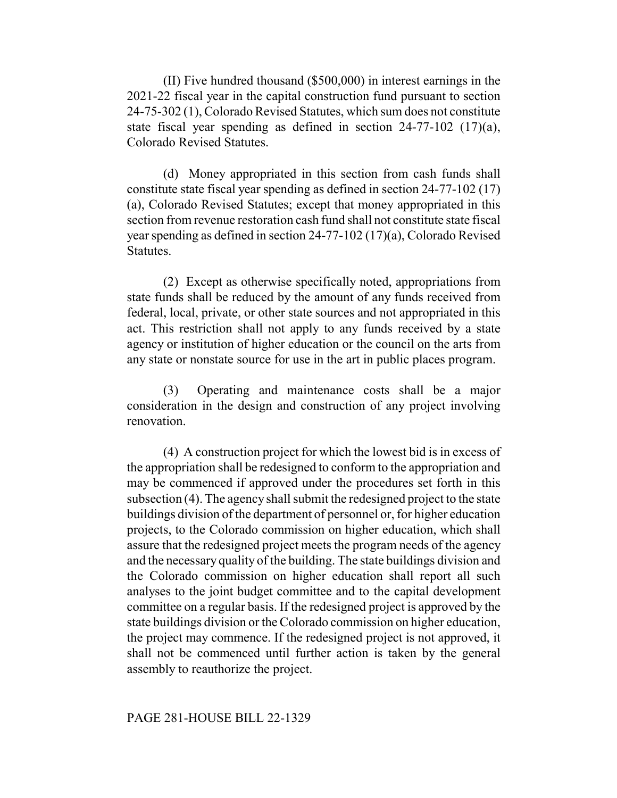(II) Five hundred thousand (\$500,000) in interest earnings in the 2021-22 fiscal year in the capital construction fund pursuant to section 24-75-302 (1), Colorado Revised Statutes, which sum does not constitute state fiscal year spending as defined in section 24-77-102 (17)(a), Colorado Revised Statutes.

(d) Money appropriated in this section from cash funds shall constitute state fiscal year spending as defined in section 24-77-102 (17) (a), Colorado Revised Statutes; except that money appropriated in this section from revenue restoration cash fund shall not constitute state fiscal year spending as defined in section 24-77-102 (17)(a), Colorado Revised Statutes.

(2) Except as otherwise specifically noted, appropriations from state funds shall be reduced by the amount of any funds received from federal, local, private, or other state sources and not appropriated in this act. This restriction shall not apply to any funds received by a state agency or institution of higher education or the council on the arts from any state or nonstate source for use in the art in public places program.

(3) Operating and maintenance costs shall be a major consideration in the design and construction of any project involving renovation.

(4) A construction project for which the lowest bid is in excess of the appropriation shall be redesigned to conform to the appropriation and may be commenced if approved under the procedures set forth in this subsection (4). The agency shall submit the redesigned project to the state buildings division of the department of personnel or, for higher education projects, to the Colorado commission on higher education, which shall assure that the redesigned project meets the program needs of the agency and the necessary quality of the building. The state buildings division and the Colorado commission on higher education shall report all such analyses to the joint budget committee and to the capital development committee on a regular basis. If the redesigned project is approved by the state buildings division or the Colorado commission on higher education, the project may commence. If the redesigned project is not approved, it shall not be commenced until further action is taken by the general assembly to reauthorize the project.

## PAGE 281-HOUSE BILL 22-1329